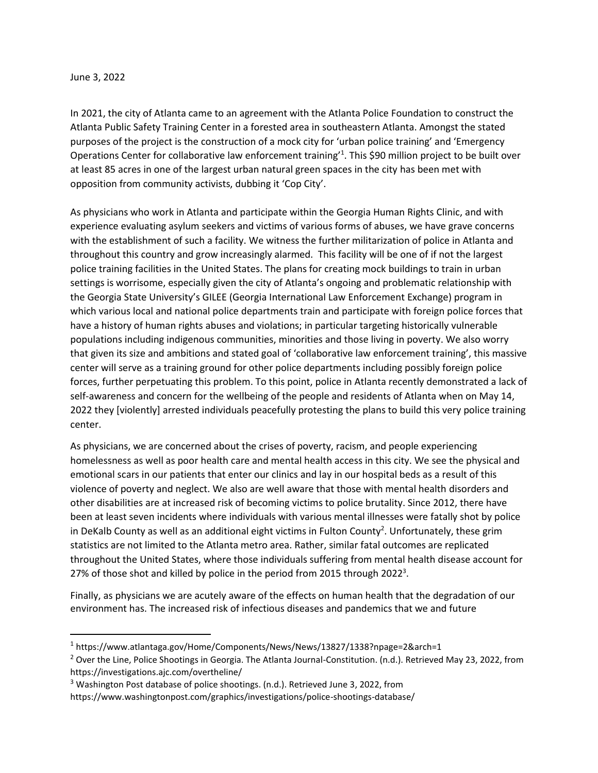## June 3, 2022

In 2021, the city of Atlanta came to an agreement with the Atlanta Police Foundation to construct the Atlanta Public Safety Training Center in a forested area in southeastern Atlanta. Amongst the stated purposes of the project is the construction of a mock city for 'urban police training' and 'Emergency Operations Center for collaborative law enforcement training<sup>'1</sup>. This \$90 million project to be built over at least 85 acres in one of the largest urban natural green spaces in the city has been met with opposition from community activists, dubbing it 'Cop City'.

As physicians who work in Atlanta and participate within the Georgia Human Rights Clinic, and with experience evaluating asylum seekers and victims of various forms of abuses, we have grave concerns with the establishment of such a facility. We witness the further militarization of police in Atlanta and throughout this country and grow increasingly alarmed. This facility will be one of if not the largest police training facilities in the United States. The plans for creating mock buildings to train in urban settings is worrisome, especially given the city of Atlanta's ongoing and problematic relationship with the Georgia State University's GILEE (Georgia International Law Enforcement Exchange) program in which various local and national police departments train and participate with foreign police forces that have a history of human rights abuses and violations; in particular targeting historically vulnerable populations including indigenous communities, minorities and those living in poverty. We also worry that given its size and ambitions and stated goal of 'collaborative law enforcement training', this massive center will serve as a training ground for other police departments including possibly foreign police forces, further perpetuating this problem. To this point, police in Atlanta recently demonstrated a lack of self-awareness and concern for the wellbeing of the people and residents of Atlanta when on May 14, 2022 they [violently] arrested individuals peacefully protesting the plans to build this very police training center.

As physicians, we are concerned about the crises of poverty, racism, and people experiencing homelessness as well as poor health care and mental health access in this city. We see the physical and emotional scars in our patients that enter our clinics and lay in our hospital beds as a result of this violence of poverty and neglect. We also are well aware that those with mental health disorders and other disabilities are at increased risk of becoming victims to police brutality. Since 2012, there have been at least seven incidents where individuals with various mental illnesses were fatally shot by police in DeKalb County as well as an additional eight victims in Fulton County<sup>2</sup>. Unfortunately, these grim statistics are not limited to the Atlanta metro area. Rather, similar fatal outcomes are replicated throughout the United States, where those individuals suffering from mental health disease account for 27% of those shot and killed by police in the period from 2015 through 2022<sup>3</sup>.

Finally, as physicians we are acutely aware of the effects on human health that the degradation of our environment has. The increased risk of infectious diseases and pandemics that we and future

<sup>1</sup> https://www.atlantaga.gov/Home/Components/News/News/13827/1338?npage=2&arch=1

<sup>&</sup>lt;sup>2</sup> Over the Line, Police Shootings in Georgia. The Atlanta Journal-Constitution. (n.d.). Retrieved May 23, 2022, from https://investigations.ajc.com/overtheline/

<sup>&</sup>lt;sup>3</sup> Washington Post database of police shootings. (n.d.). Retrieved June 3, 2022, from

https://www.washingtonpost.com/graphics/investigations/police-shootings-database/